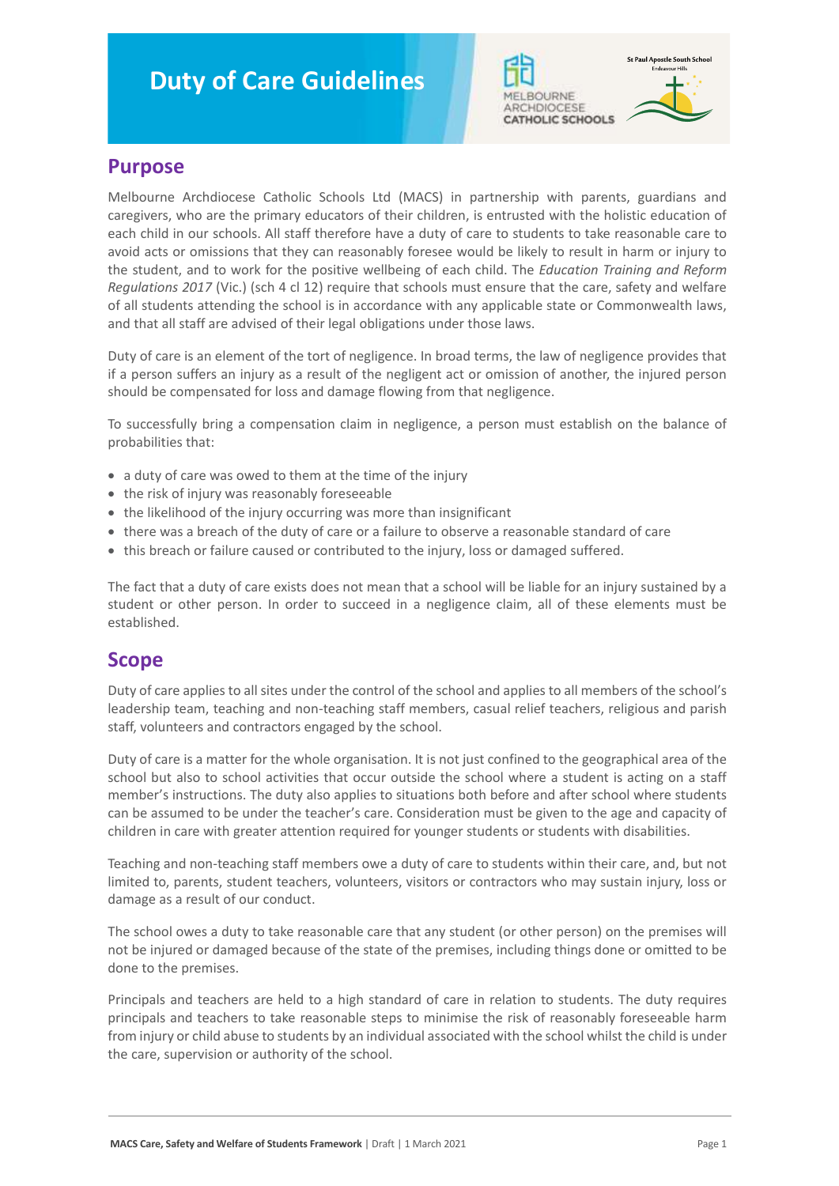# **Duty of Care Guidelines**





#### **Purpose**

Melbourne Archdiocese Catholic Schools Ltd (MACS) in partnership with parents, guardians and caregivers, who are the primary educators of their children, is entrusted with the holistic education of each child in our schools. All staff therefore have a duty of care to students to take reasonable care to avoid acts or omissions that they can reasonably foresee would be likely to result in harm or injury to the student, and to work for the positive wellbeing of each child. The *Education Training and Reform Regulations 2017* (Vic.) (sch 4 cl 12) require that schools must ensure that the care, safety and welfare of all students attending the school is in accordance with any applicable state or Commonwealth laws, and that all staff are advised of their legal obligations under those laws.

Duty of care is an element of the tort of negligence. In broad terms, the law of negligence provides that if a person suffers an injury as a result of the negligent act or omission of another, the injured person should be compensated for loss and damage flowing from that negligence.

To successfully bring a compensation claim in negligence, a person must establish on the balance of probabilities that:

- a duty of care was owed to them at the time of the injury
- the risk of injury was reasonably foreseeable
- the likelihood of the injury occurring was more than insignificant
- there was a breach of the duty of care or a failure to observe a reasonable standard of care
- this breach or failure caused or contributed to the injury, loss or damaged suffered.

The fact that a duty of care exists does not mean that a school will be liable for an injury sustained by a student or other person. In order to succeed in a negligence claim, all of these elements must be established.

#### **Scope**

Duty of care applies to all sites under the control of the school and applies to all members of the school's leadership team, teaching and non-teaching staff members, casual relief teachers, religious and parish staff, volunteers and contractors engaged by the school.

Duty of care is a matter for the whole organisation. It is not just confined to the geographical area of the school but also to school activities that occur outside the school where a student is acting on a staff member's instructions. The duty also applies to situations both before and after school where students can be assumed to be under the teacher's care. Consideration must be given to the age and capacity of children in care with greater attention required for younger students or students with disabilities.

Teaching and non-teaching staff members owe a duty of care to students within their care, and, but not limited to, parents, student teachers, volunteers, visitors or contractors who may sustain injury, loss or damage as a result of our conduct.

The school owes a duty to take reasonable care that any student (or other person) on the premises will not be injured or damaged because of the state of the premises, including things done or omitted to be done to the premises.

Principals and teachers are held to a high standard of care in relation to students. The duty requires principals and teachers to take reasonable steps to minimise the risk of reasonably foreseeable harm from injury or child abuse to students by an individual associated with the school whilst the child is under the care, supervision or authority of the school.